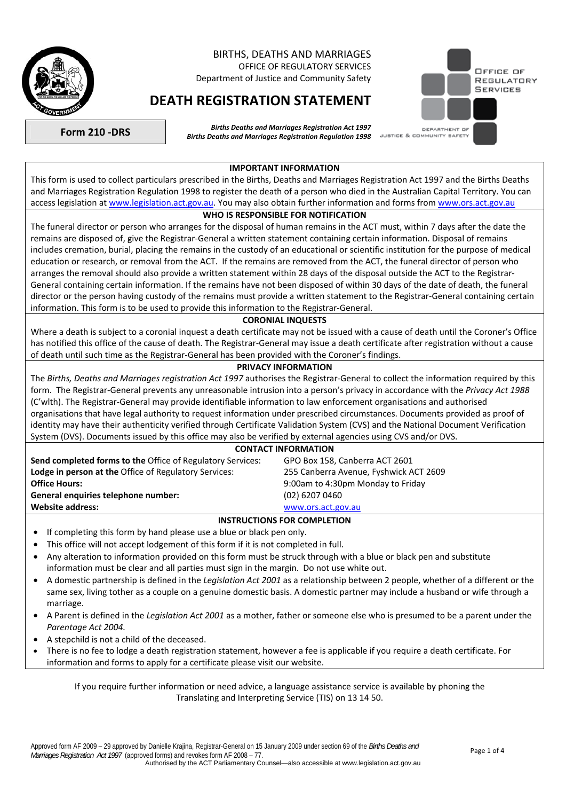

### BIRTHS, DEATHS AND MARRIAGES OFFICE OF REGULATORY SERVICES Department of Justice and Community Safety

# **DEATH REGISTRATION STATEMENT**

**Form 210 -DRS** *Births Deaths and Marriages Registration Act 1997 Births Deaths and Marriages Registration Regulation 1998* 



JUSTICE & COMMUNITY SAFI

**IMPORTANT INFORMATION** 

This form is used to collect particulars prescribed in the Births, Deaths and Marriages Registration Act 1997 and the Births Deaths and Marriages Registration Regulation 1998 to register the death of a person who died in the Australian Capital Territory. You can access legislation at [www.legislation.act.gov.au.](http://www.legislation.act.gov.au/) You may also obtain further information and forms from [www.ors.act.gov.au](http://www.ors.act.gov.au/)

## **WHO IS RESPONSIBLE FOR NOTIFICATION**

The funeral director or person who arranges for the disposal of human remains in the ACT must, within 7 days after the date the remains are disposed of, give the Registrar-General a written statement containing certain information. Disposal of remains includes cremation, burial, placing the remains in the custody of an educational or scientific institution for the purpose of medical education or research, or removal from the ACT. If the remains are removed from the ACT, the funeral director of person who arranges the removal should also provide a written statement within 28 days of the disposal outside the ACT to the Registrar-General containing certain information. If the remains have not been disposed of within 30 days of the date of death, the funeral director or the person having custody of the remains must provide a written statement to the Registrar-General containing certain information. This form is to be used to provide this information to the Registrar-General.

## **CORONIAL INQUESTS**

Where a death is subject to a coronial inquest a death certificate may not be issued with a cause of death until the Coroner's Office has notified this office of the cause of death. The Registrar-General may issue a death certificate after registration without a cause of death until such time as the Registrar-General has been provided with the Coroner's findings.

## **PRIVACY INFORMATION**

The *Births, Deaths and Marriages registration Act 1997* authorises the Registrar-General to collect the information required by this form. The Registrar-General prevents any unreasonable intrusion into a person's privacy in accordance with the *Privacy Act 1988* (C'wlth). The Registrar-General may provide identifiable information to law enforcement organisations and authorised organisations that have legal authority to request information under prescribed circumstances. Documents provided as proof of identity may have their authenticity verified through Certificate Validation System (CVS) and the National Document Verification System (DVS). Documents issued by this office may also be verified by external agencies using CVS and/or DVS.

|                                                                   | <b>CONTACT INFORMATION</b>             |  |
|-------------------------------------------------------------------|----------------------------------------|--|
| <b>Send completed forms to the Office of Regulatory Services:</b> | GPO Box 158, Canberra ACT 2601         |  |
| <b>Lodge in person at the Office of Regulatory Services:</b>      | 255 Canberra Avenue, Fyshwick ACT 2609 |  |
| <b>Office Hours:</b>                                              | 9:00am to 4:30pm Monday to Friday      |  |
| General enguiries telephone number:                               | $(02)$ 6207 0460                       |  |
| <b>Website address:</b>                                           | www.ors.act.gov.au                     |  |

## **INSTRUCTIONS FOR COMPLETION**

- If completing this form by hand please use a blue or black pen only.
- This office will not accept lodgement of this form if it is not completed in full.
- Any alteration to information provided on this form must be struck through with a blue or black pen and substitute information must be clear and all parties must sign in the margin. Do not use white out.
- A domestic partnership is defined in the *Legislation Act 2001* as a relationship between 2 people, whether of a different or the same sex, living tother as a couple on a genuine domestic basis. A domestic partner may include a husband or wife through a marriage.
- A Parent is defined in the *Legislation Act 2001* as a mother, father or someone else who is presumed to be a parent under the *Parentage Act 2004.*
- A stepchild is not a child of the deceased.
- There is no fee to lodge a death registration statement, however a fee is applicable if you require a death certificate. For information and forms to apply for a certificate please visit our website.

If you require further information or need advice, a language assistance service is available by phoning the Translating and Interpreting Service (TIS) on 13 14 50.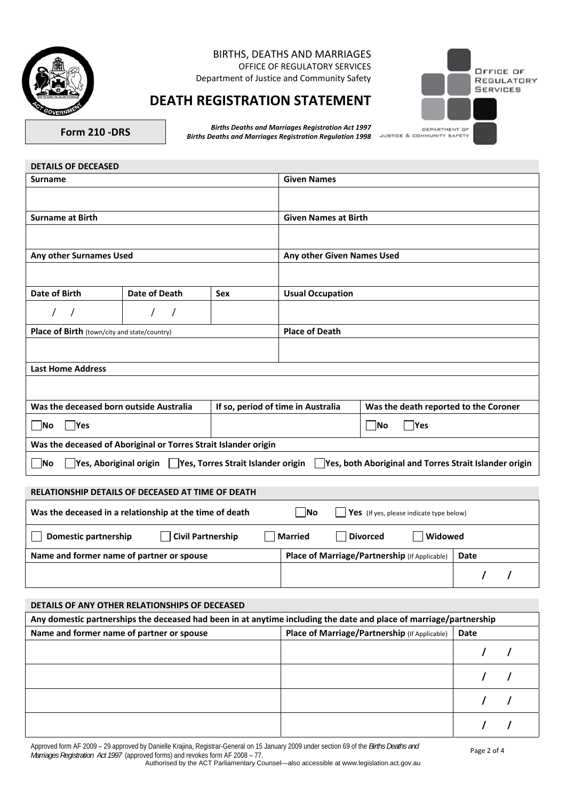

### BIRTHS, DEATHS AND MARRIAGES OFFICE OF REGULATORY SERVICES Department of Justice and Community Safety



## **DEATH REGISTRATION STATEMENT**

**Form 210 -DRS** *Births Deaths and Marriages Registration Act 1997 Births Deaths and Marriages Registration Regulation 1998* 

| <b>DETAILS OF DECEASED</b>                                                                                                                      |                                                                               |                          |                             |                                       |  |
|-------------------------------------------------------------------------------------------------------------------------------------------------|-------------------------------------------------------------------------------|--------------------------|-----------------------------|---------------------------------------|--|
| <b>Surname</b>                                                                                                                                  |                                                                               |                          | <b>Given Names</b>          |                                       |  |
|                                                                                                                                                 |                                                                               |                          |                             |                                       |  |
| <b>Surname at Birth</b>                                                                                                                         |                                                                               |                          | <b>Given Names at Birth</b> |                                       |  |
|                                                                                                                                                 |                                                                               |                          |                             |                                       |  |
| Any other Surnames Used                                                                                                                         |                                                                               |                          | Any other Given Names Used  |                                       |  |
|                                                                                                                                                 |                                                                               |                          |                             |                                       |  |
| <b>Date of Birth</b>                                                                                                                            | <b>Date of Death</b>                                                          | <b>Sex</b>               | <b>Usual Occupation</b>     |                                       |  |
| $\sqrt{ }$<br>$\sqrt{2}$                                                                                                                        |                                                                               |                          |                             |                                       |  |
| Place of Birth (town/city and state/country)                                                                                                    |                                                                               |                          | <b>Place of Death</b>       |                                       |  |
|                                                                                                                                                 |                                                                               |                          |                             |                                       |  |
| <b>Last Home Address</b>                                                                                                                        |                                                                               |                          |                             |                                       |  |
|                                                                                                                                                 |                                                                               |                          |                             |                                       |  |
|                                                                                                                                                 | Was the deceased born outside Australia<br>If so, period of time in Australia |                          |                             | Was the death reported to the Coroner |  |
| $\Box$ Yes<br>  No                                                                                                                              |                                                                               | $\overline{\mathsf{No}}$ |                             | Yes                                   |  |
| Was the deceased of Aboriginal or Torres Strait Islander origin                                                                                 |                                                                               |                          |                             |                                       |  |
| $\gamma$ es, Aboriginal origin $\gamma$ Yes, Torres Strait Islander origin<br>l lNo<br>  Yes, both Aboriginal and Torres Strait Islander origin |                                                                               |                          |                             |                                       |  |
| <b>RELATIONSHIP DETAILS OF DECEASED AT TIME OF DEATH</b>                                                                                        |                                                                               |                          |                             |                                       |  |
| Was the deceased in a relationship at the time of death<br><b>No</b><br>Yes (If yes, please indicate type below)                                |                                                                               |                          |                             |                                       |  |
| <b>Domestic partnership</b><br><b>Civil Partnership</b><br>Widowed<br><b>Married</b><br><b>Divorced</b>                                         |                                                                               |                          |                             |                                       |  |
| Name and former name of partner or spouse<br>Place of Marriage/Partnership (If Applicable)<br><b>Date</b>                                       |                                                                               |                          |                             |                                       |  |
|                                                                                                                                                 |                                                                               |                          |                             |                                       |  |

### **DETAILS OF ANY OTHER RELATIONSHIPS OF DECEASED**

| Any domestic partnerships the deceased had been in at anytime including the date and place of marriage/partnership |                                               |      |
|--------------------------------------------------------------------------------------------------------------------|-----------------------------------------------|------|
| Name and former name of partner or spouse                                                                          | Place of Marriage/Partnership (If Applicable) | Date |
|                                                                                                                    |                                               |      |
|                                                                                                                    |                                               |      |
|                                                                                                                    |                                               |      |
|                                                                                                                    |                                               |      |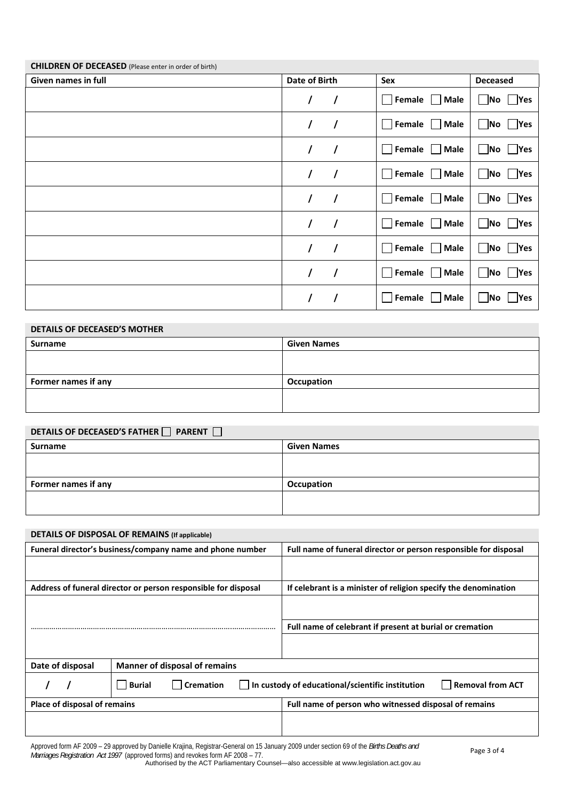| <b>CHILDREN OF DECEASED</b> (Please enter in order of birth) |                      |                                       |                                                |
|--------------------------------------------------------------|----------------------|---------------------------------------|------------------------------------------------|
| Given names in full                                          | Date of Birth        | Sex                                   | <b>Deceased</b>                                |
|                                                              | $\prime$<br>7        | Female Male<br>$\perp$                | $\Box$ Yes<br>$\overline{\mathsf{No}}$         |
|                                                              | $\prime$<br>$\prime$ | Female<br>Male<br>$\mathbf{1}$        | Yes<br><b>No</b>                               |
|                                                              | $\prime$<br>$\prime$ | Female<br><b>Male</b><br>$\mathbf{1}$ | $\exists$ Yes<br>$\overline{\mathsf{No}}$      |
|                                                              | $\prime$<br>$\prime$ | $\Box$ Female $\Box$ Male             | $\blacksquare$ Yes<br>$\overline{\mathsf{No}}$ |
|                                                              | $\prime$<br>$\prime$ | Female<br>  Male<br>$\mathbf{1}$      | $\Box$ Yes<br>$\blacksquare$ No                |
|                                                              | $\prime$<br>$\prime$ | Female<br>  Male<br>$\mathbf{1}$      | $\Box$ Yes<br>$\overline{\mathsf{No}}$         |
|                                                              | $\prime$<br>$\prime$ | Female<br><b>Male</b><br>$\Box$       | $\blacksquare$ Yes<br>$\overline{\mathsf{No}}$ |
|                                                              | $\prime$<br>$\prime$ | Female [<br>  Male<br>$\mathbf{I}$    | $\blacksquare$ Yes<br>$\blacksquare$ No        |
|                                                              | $\prime$<br>$\prime$ | Female<br><b>Male</b><br>$\mathbf{L}$ | Yes<br>$\overline{\mathsf{No}}$                |

| <b>DETAILS OF DECEASED'S MOTHER</b> |                    |  |
|-------------------------------------|--------------------|--|
| <b>Surname</b>                      | <b>Given Names</b> |  |
|                                     |                    |  |
|                                     |                    |  |
| Former names if any                 | Occupation         |  |
|                                     |                    |  |
|                                     |                    |  |

## **DETAILS OF DECEASED'S FATHER**  $\Box$  **PARENT**  $\Box$

| __<br>__            |                    |
|---------------------|--------------------|
| Surname             | <b>Given Names</b> |
|                     |                    |
|                     |                    |
| Former names if any | Occupation         |
|                     |                    |
|                     |                    |

| <b>DETAILS OF DISPOSAL OF REMAINS (If applicable)</b>                                 |                                                                |                                                                  |
|---------------------------------------------------------------------------------------|----------------------------------------------------------------|------------------------------------------------------------------|
| Funeral director's business/company name and phone number                             |                                                                | Full name of funeral director or person responsible for disposal |
|                                                                                       |                                                                |                                                                  |
|                                                                                       | Address of funeral director or person responsible for disposal | If celebrant is a minister of religion specify the denomination  |
|                                                                                       |                                                                |                                                                  |
|                                                                                       |                                                                | Full name of celebrant if present at burial or cremation         |
|                                                                                       |                                                                |                                                                  |
| <b>Manner of disposal of remains</b><br>Date of disposal                              |                                                                |                                                                  |
| <b>Cremation</b><br><b>Burial</b><br>In custody of educational/scientific institution |                                                                | <b>Removal from ACT</b>                                          |
| Place of disposal of remains                                                          |                                                                | Full name of person who witnessed disposal of remains            |
|                                                                                       |                                                                |                                                                  |

Approved form AF 2009 – 29 approved by Danielle Krajina, Registrar-General on 15 January 2009 under section 69 of the *Births Deaths and*<br>*Marriages Registration Act 1997* (approved forms) and revokes form AF 2008 – 77.